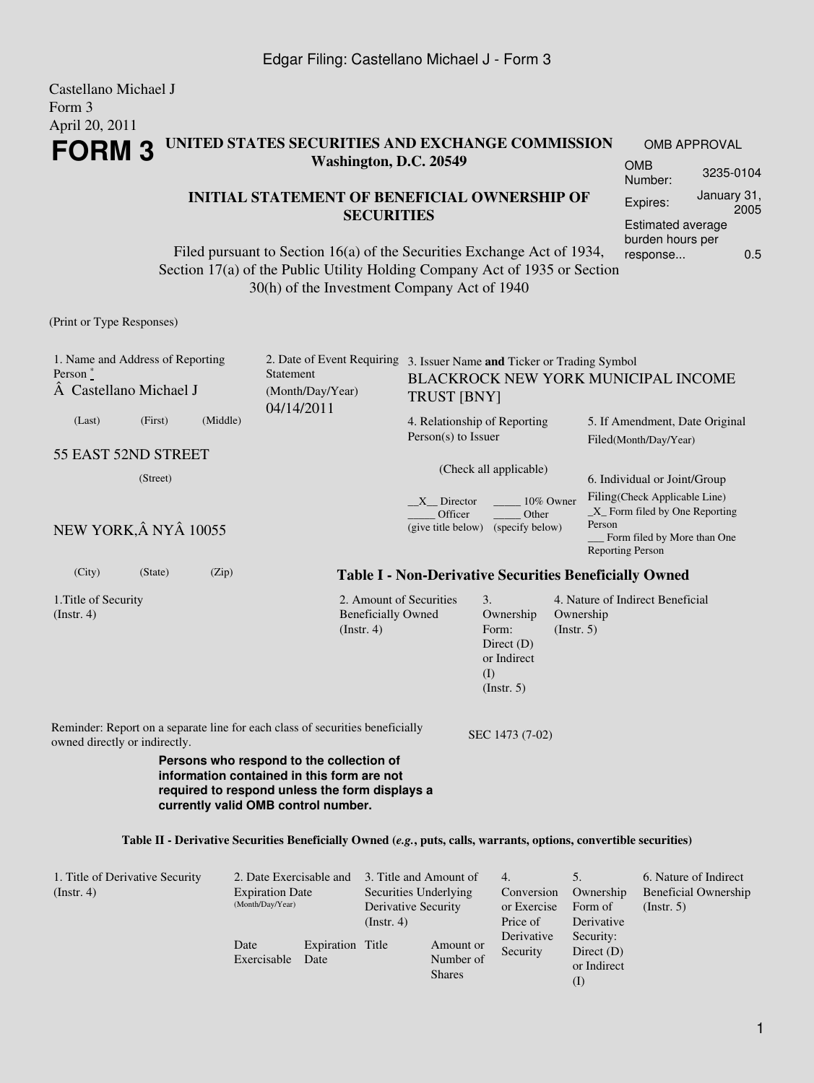#### Castellano Michael J Form 3 April 20, 2011 **FORM 3 UNITED STATES SECURITIES AND EXCHANGE COMMISSION Washington, D.C. 20549** OMB APPROVAL OMB

#### **INITIAL STATEMENT OF BENEFICIAL OWNERSHIP OF SECURITIES**

Filed pursuant to Section 16(a) of the Securities Exchange Act of 1934, Section 17(a) of the Public Utility Holding Company Act of 1935 or Section 30(h) of the Investment Company Act of 1940

(Print or Type Responses)

| 1. Name and Address of Reporting<br>Person $*$<br>A Castellano Michael J                                                                                                                                                                                                                              |         |                                                                               | Statement<br>(Month/Day/Year)<br>04/14/2011                           |                                                                                      | 2. Date of Event Requiring 3. Issuer Name and Ticker or Trading Symbol<br><b>BLACKROCK NEW YORK MUNICIPAL INCOME</b><br><b>TRUST [BNY]</b> |                                                      |                                                                                                                                                                      |  |  |  |
|-------------------------------------------------------------------------------------------------------------------------------------------------------------------------------------------------------------------------------------------------------------------------------------------------------|---------|-------------------------------------------------------------------------------|-----------------------------------------------------------------------|--------------------------------------------------------------------------------------|--------------------------------------------------------------------------------------------------------------------------------------------|------------------------------------------------------|----------------------------------------------------------------------------------------------------------------------------------------------------------------------|--|--|--|
| (Last)                                                                                                                                                                                                                                                                                                | (First) | (Middle)                                                                      |                                                                       |                                                                                      | 4. Relationship of Reporting<br>Person(s) to Issuer                                                                                        |                                                      | 5. If Amendment, Date Original<br>Filed(Month/Day/Year)                                                                                                              |  |  |  |
| 55 EAST 52ND STREET                                                                                                                                                                                                                                                                                   |         |                                                                               |                                                                       |                                                                                      | (Check all applicable)                                                                                                                     |                                                      |                                                                                                                                                                      |  |  |  |
| (Street)<br>NEW YORK, Â NYÂ 10055                                                                                                                                                                                                                                                                     |         |                                                                               |                                                                       | 10% Owner<br>X Director<br>Officer<br>Other<br>(give title below) (specify below)    |                                                                                                                                            |                                                      | 6. Individual or Joint/Group<br>Filing(Check Applicable Line)<br>$X$ Form filed by One Reporting<br>Person<br>Form filed by More than One<br><b>Reporting Person</b> |  |  |  |
| (City)                                                                                                                                                                                                                                                                                                | (State) | (Zip)                                                                         |                                                                       | <b>Table I - Non-Derivative Securities Beneficially Owned</b>                        |                                                                                                                                            |                                                      |                                                                                                                                                                      |  |  |  |
| 1. Title of Security<br>(Insert. 4)                                                                                                                                                                                                                                                                   |         |                                                                               |                                                                       | 2. Amount of Securities<br><b>Beneficially Owned</b><br>$($ Instr. 4 $)$             | 3.<br>Ownership<br>Form:<br>Direct $(D)$<br>or Indirect<br>(I)<br>(Insert. 5)                                                              | Ownership<br>(Insert. 5)                             | 4. Nature of Indirect Beneficial                                                                                                                                     |  |  |  |
| owned directly or indirectly.                                                                                                                                                                                                                                                                         |         | Reminder: Report on a separate line for each class of securities beneficially |                                                                       | SEC 1473 (7-02)                                                                      |                                                                                                                                            |                                                      |                                                                                                                                                                      |  |  |  |
| Persons who respond to the collection of<br>information contained in this form are not<br>required to respond unless the form displays a<br>currently valid OMB control number.<br>Table II - Derivative Securities Beneficially Owned (e.g., puts, calls, warrants, options, convertible securities) |         |                                                                               |                                                                       |                                                                                      |                                                                                                                                            |                                                      |                                                                                                                                                                      |  |  |  |
| 1. Title of Derivative Security<br>(Insert. 4)                                                                                                                                                                                                                                                        |         |                                                                               | 2. Date Exercisable and<br><b>Expiration Date</b><br>(Month/Day/Year) | 3. Title and Amount of<br>Securities Underlying<br>Derivative Security<br>(Instr. 4) | 4.<br>Conversion<br>or Exercise<br>Price of                                                                                                | 5 <sub>1</sub><br>Ownership<br>Form of<br>Derivative | 6. Nature of Indirect<br><b>Beneficial Ownership</b><br>(Insert. 5)                                                                                                  |  |  |  |

Date

Exercisable Date

Expiration Title

Derivative Security

Amount or Number of Shares

Security: Direct (D) or Indirect (I)

Estimated average burden hours per response... 0.5